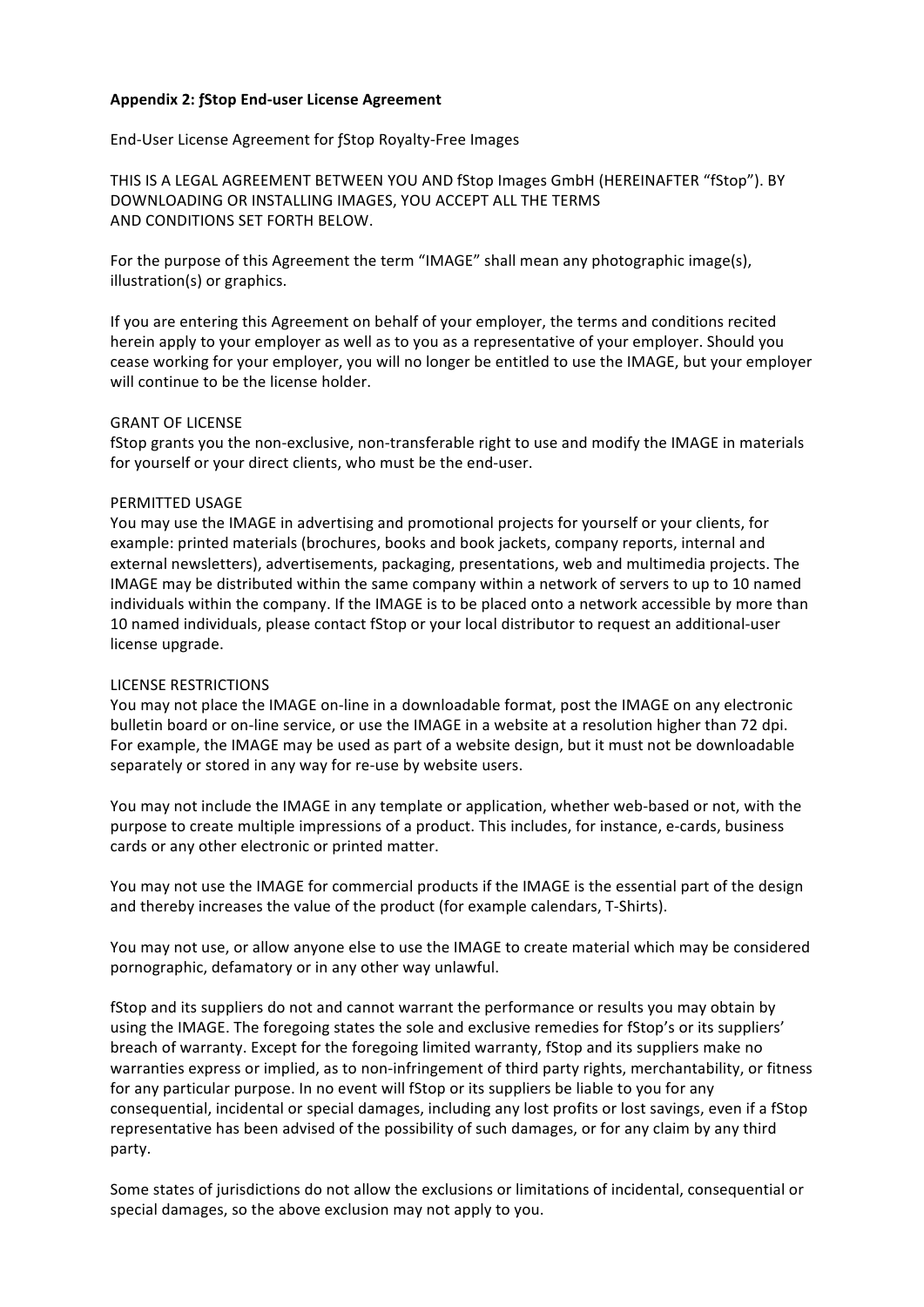# **Appendix 2: ƒStop End-user License Agreement**

End-User License Agreement for fStop Royalty-Free Images

THIS IS A LEGAL AGREEMENT BETWEEN YOU AND fStop Images GmbH (HEREINAFTER "fStop"). BY DOWNLOADING OR INSTALLING IMAGES, YOU ACCEPT ALL THE TERMS AND CONDITIONS SET FORTH BELOW.

For the purpose of this Agreement the term "IMAGE" shall mean any photographic image(s), illustration(s) or graphics.

If you are entering this Agreement on behalf of your employer, the terms and conditions recited herein apply to your employer as well as to you as a representative of your employer. Should you cease working for your employer, you will no longer be entitled to use the IMAGE, but your employer will continue to be the license holder.

#### **GRANT OF LICENSE**

fStop grants you the non-exclusive, non-transferable right to use and modify the IMAGE in materials for yourself or your direct clients, who must be the end-user.

## PERMITTED USAGE

You may use the IMAGE in advertising and promotional projects for yourself or your clients, for example: printed materials (brochures, books and book jackets, company reports, internal and external newsletters), advertisements, packaging, presentations, web and multimedia projects. The IMAGE may be distributed within the same company within a network of servers to up to 10 named individuals within the company. If the IMAGE is to be placed onto a network accessible by more than 10 named individuals, please contact fStop or your local distributor to request an additional-user license upgrade.

# LICENSE RESTRICTIONS

You may not place the IMAGE on-line in a downloadable format, post the IMAGE on any electronic bulletin board or on-line service, or use the IMAGE in a website at a resolution higher than 72 dpi. For example, the IMAGE may be used as part of a website design, but it must not be downloadable separately or stored in any way for re-use by website users.

You may not include the IMAGE in any template or application, whether web-based or not, with the purpose to create multiple impressions of a product. This includes, for instance, e-cards, business cards or any other electronic or printed matter.

You may not use the IMAGE for commercial products if the IMAGE is the essential part of the design and thereby increases the value of the product (for example calendars, T-Shirts).

You may not use, or allow anyone else to use the IMAGE to create material which may be considered pornographic, defamatory or in any other way unlawful.

fStop and its suppliers do not and cannot warrant the performance or results you may obtain by using the IMAGE. The foregoing states the sole and exclusive remedies for fStop's or its suppliers' breach of warranty. Except for the foregoing limited warranty, fStop and its suppliers make no warranties express or implied, as to non-infringement of third party rights, merchantability, or fitness for any particular purpose. In no event will fStop or its suppliers be liable to you for any consequential, incidental or special damages, including any lost profits or lost savings, even if a fStop representative has been advised of the possibility of such damages, or for any claim by any third party.

Some states of jurisdictions do not allow the exclusions or limitations of incidental, consequential or special damages, so the above exclusion may not apply to you.